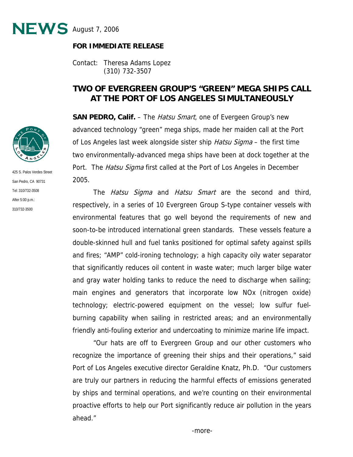

## **FOR IMMEDIATE RELEASE**

Contact: Theresa Adams Lopez (310) 732-3507

## **TWO OF EVERGREEN GROUP'S "GREEN" MEGA SHIPS CALL AT THE PORT OF LOS ANGELES SIMULTANEOUSLY**

**SAN PEDRO, Calif.** – The *Hatsu Smart*, one of Evergeen Group's new advanced technology "green" mega ships, made her maiden call at the Port of Los Angeles last week alongside sister ship *Hatsu Sigma* – the first time two environmentally-advanced mega ships have been at dock together at the Port. The *Hatsu Sigma* first called at the Port of Los Angeles in December 2005.

The *Hatsu Sigma* and *Hatsu Smart* are the second and third, respectively, in a series of 10 Evergreen Group S-type container vessels with environmental features that go well beyond the requirements of new and soon-to-be introduced international green standards. These vessels feature a double-skinned hull and fuel tanks positioned for optimal safety against spills and fires; "AMP" cold-ironing technology; a high capacity oily water separator that significantly reduces oil content in waste water; much larger bilge water and gray water holding tanks to reduce the need to discharge when sailing; main engines and generators that incorporate low NOx (nitrogen oxide) technology; electric-powered equipment on the vessel; low sulfur fuelburning capability when sailing in restricted areas; and an environmentally friendly anti-fouling exterior and undercoating to minimize marine life impact.

"Our hats are off to Evergreen Group and our other customers who recognize the importance of greening their ships and their operations," said Port of Los Angeles executive director Geraldine Knatz, Ph.D. "Our customers are truly our partners in reducing the harmful effects of emissions generated by ships and terminal operations, and we're counting on their environmental proactive efforts to help our Port significantly reduce air pollution in the years ahead."



425 S. Palos Verdes Street San Pedro, CA 90731 Tel: 310/732-3508 After 5:00 p.m.: 310/732-3500